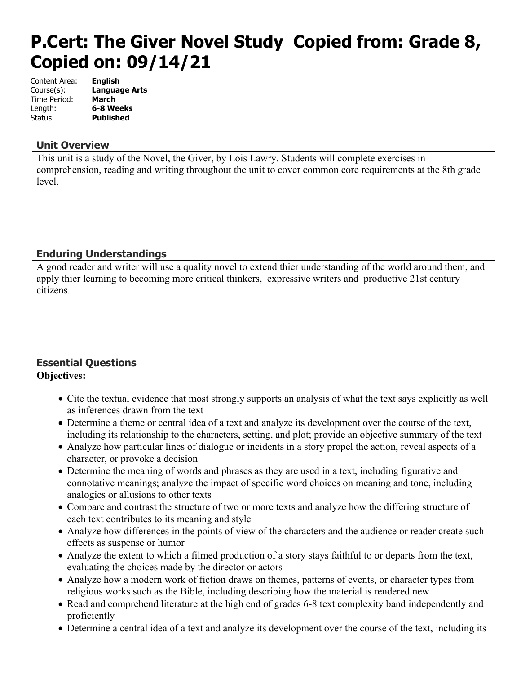# **P.Cert: The Giver Novel Study Copied from: Grade 8, Copied on: 09/14/21**

| <b>English</b>       |
|----------------------|
| <b>Language Arts</b> |
| <b>March</b>         |
| 6-8 Weeks            |
| <b>Published</b>     |
|                      |

#### **Unit Overview**

This unit is a study of the Novel, the Giver, by Lois Lawry. Students will complete exercises in comprehension, reading and writing throughout the unit to cover common core requirements at the 8th grade level.

# **Enduring Understandings**

A good reader and writer will use a quality novel to extend thier understanding of the world around them, and apply thier learning to becoming more critical thinkers, expressive writers and productive 21st century citizens.

# **Essential Questions**

#### **Objectives:**

- Cite the textual evidence that most strongly supports an analysis of what the text says explicitly as well as inferences drawn from the text
- Determine a theme or central idea of a text and analyze its development over the course of the text, including its relationship to the characters, setting, and plot; provide an objective summary of the text
- Analyze how particular lines of dialogue or incidents in a story propel the action, reveal aspects of a character, or provoke a decision
- Determine the meaning of words and phrases as they are used in a text, including figurative and connotative meanings; analyze the impact of specific word choices on meaning and tone, including analogies or allusions to other texts
- Compare and contrast the structure of two or more texts and analyze how the differing structure of each text contributes to its meaning and style
- Analyze how differences in the points of view of the characters and the audience or reader create such effects as suspense or humor
- Analyze the extent to which a filmed production of a story stays faithful to or departs from the text, evaluating the choices made by the director or actors
- Analyze how a modern work of fiction draws on themes, patterns of events, or character types from religious works such as the Bible, including describing how the material is rendered new
- Read and comprehend literature at the high end of grades 6-8 text complexity band independently and proficiently
- Determine a central idea of a text and analyze its development over the course of the text, including its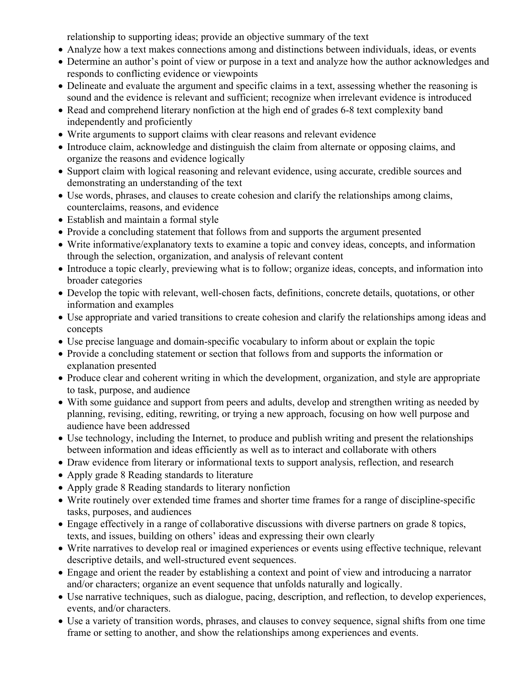relationship to supporting ideas; provide an objective summary of the text

- Analyze how a text makes connections among and distinctions between individuals, ideas, or events
- Determine an author's point of view or purpose in a text and analyze how the author acknowledges and responds to conflicting evidence or viewpoints
- Delineate and evaluate the argument and specific claims in a text, assessing whether the reasoning is sound and the evidence is relevant and sufficient; recognize when irrelevant evidence is introduced
- Read and comprehend literary nonfiction at the high end of grades 6-8 text complexity band independently and proficiently
- Write arguments to support claims with clear reasons and relevant evidence
- Introduce claim, acknowledge and distinguish the claim from alternate or opposing claims, and organize the reasons and evidence logically
- Support claim with logical reasoning and relevant evidence, using accurate, credible sources and demonstrating an understanding of the text
- Use words, phrases, and clauses to create cohesion and clarify the relationships among claims, counterclaims, reasons, and evidence
- Establish and maintain a formal style
- Provide a concluding statement that follows from and supports the argument presented
- Write informative/explanatory texts to examine a topic and convey ideas, concepts, and information through the selection, organization, and analysis of relevant content
- Introduce a topic clearly, previewing what is to follow; organize ideas, concepts, and information into broader categories
- Develop the topic with relevant, well-chosen facts, definitions, concrete details, quotations, or other information and examples
- Use appropriate and varied transitions to create cohesion and clarify the relationships among ideas and concepts
- Use precise language and domain-specific vocabulary to inform about or explain the topic
- Provide a concluding statement or section that follows from and supports the information or explanation presented
- Produce clear and coherent writing in which the development, organization, and style are appropriate to task, purpose, and audience
- With some guidance and support from peers and adults, develop and strengthen writing as needed by planning, revising, editing, rewriting, or trying a new approach, focusing on how well purpose and audience have been addressed
- Use technology, including the Internet, to produce and publish writing and present the relationships between information and ideas efficiently as well as to interact and collaborate with others
- Draw evidence from literary or informational texts to support analysis, reflection, and research
- Apply grade 8 Reading standards to literature
- Apply grade 8 Reading standards to literary nonfiction
- Write routinely over extended time frames and shorter time frames for a range of discipline-specific tasks, purposes, and audiences
- Engage effectively in a range of collaborative discussions with diverse partners on grade 8 topics, texts, and issues, building on others' ideas and expressing their own clearly
- Write narratives to develop real or imagined experiences or events using effective technique, relevant descriptive details, and well-structured event sequences.
- Engage and orient the reader by establishing a context and point of view and introducing a narrator and/or characters; organize an event sequence that unfolds naturally and logically.
- Use narrative techniques, such as dialogue, pacing, description, and reflection, to develop experiences, events, and/or characters.
- Use a variety of transition words, phrases, and clauses to convey sequence, signal shifts from one time frame or setting to another, and show the relationships among experiences and events.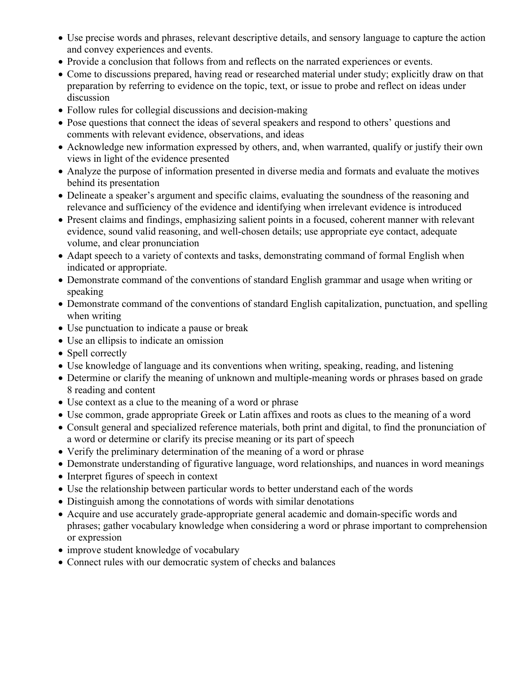- Use precise words and phrases, relevant descriptive details, and sensory language to capture the action and convey experiences and events.
- Provide a conclusion that follows from and reflects on the narrated experiences or events.
- Come to discussions prepared, having read or researched material under study; explicitly draw on that preparation by referring to evidence on the topic, text, or issue to probe and reflect on ideas under discussion
- Follow rules for collegial discussions and decision-making
- Pose questions that connect the ideas of several speakers and respond to others' questions and comments with relevant evidence, observations, and ideas
- Acknowledge new information expressed by others, and, when warranted, qualify or justify their own views in light of the evidence presented
- Analyze the purpose of information presented in diverse media and formats and evaluate the motives behind its presentation
- Delineate a speaker's argument and specific claims, evaluating the soundness of the reasoning and relevance and sufficiency of the evidence and identifying when irrelevant evidence is introduced
- Present claims and findings, emphasizing salient points in a focused, coherent manner with relevant evidence, sound valid reasoning, and well-chosen details; use appropriate eye contact, adequate volume, and clear pronunciation
- Adapt speech to a variety of contexts and tasks, demonstrating command of formal English when indicated or appropriate.
- Demonstrate command of the conventions of standard English grammar and usage when writing or speaking
- Demonstrate command of the conventions of standard English capitalization, punctuation, and spelling when writing
- Use punctuation to indicate a pause or break
- Use an ellipsis to indicate an omission
- Spell correctly
- Use knowledge of language and its conventions when writing, speaking, reading, and listening
- Determine or clarify the meaning of unknown and multiple-meaning words or phrases based on grade 8 reading and content
- Use context as a clue to the meaning of a word or phrase
- Use common, grade appropriate Greek or Latin affixes and roots as clues to the meaning of a word
- Consult general and specialized reference materials, both print and digital, to find the pronunciation of a word or determine or clarify its precise meaning or its part of speech
- Verify the preliminary determination of the meaning of a word or phrase
- Demonstrate understanding of figurative language, word relationships, and nuances in word meanings
- Interpret figures of speech in context
- Use the relationship between particular words to better understand each of the words
- Distinguish among the connotations of words with similar denotations
- Acquire and use accurately grade-appropriate general academic and domain-specific words and phrases; gather vocabulary knowledge when considering a word or phrase important to comprehension or expression
- improve student knowledge of vocabulary
- Connect rules with our democratic system of checks and balances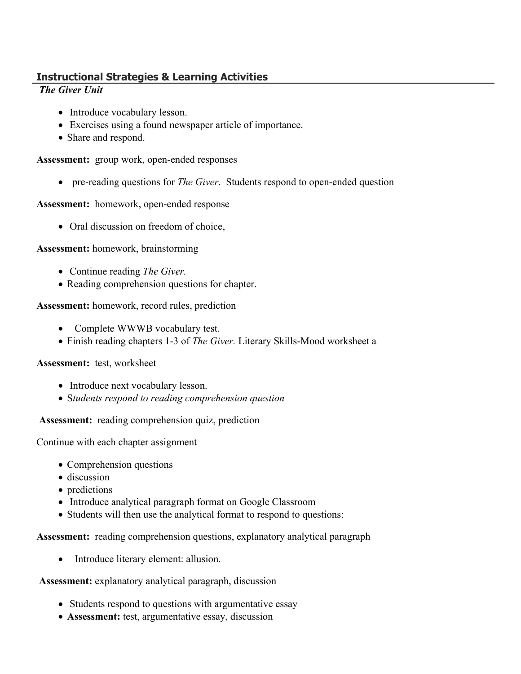# **Instructional Strategies & Learning Activities**

### *The Giver Unit*

- Introduce vocabulary lesson.
- Exercises using a found newspaper article of importance.
- Share and respond.

**Assessment:** group work, open-ended responses

pre-reading questions for *The Giver*. Students respond to open-ended question

# **Assessment:** homework, open-ended response

• Oral discussion on freedom of choice,

# **Assessment:** homework, brainstorming

- Continue reading *The Giver.*
- Reading comprehension questions for chapter.

#### **Assessment:** homework, record rules, prediction

- Complete WWWB vocabulary test.
- Finish reading chapters 1-3 of *The Giver.* Literary Skills-Mood worksheet a

# **Assessment:** test, worksheet

- Introduce next vocabulary lesson.
- S*tudents respond to reading comprehension question*

# **Assessment:** reading comprehension quiz, prediction

Continue with each chapter assignment

- Comprehension questions
- discussion
- predictions
- Introduce analytical paragraph format on Google Classroom
- Students will then use the analytical format to respond to questions:

# **Assessment:** reading comprehension questions, explanatory analytical paragraph

• Introduce literary element: allusion.

# **Assessment:** explanatory analytical paragraph, discussion

- Students respond to questions with argumentative essay
- **Assessment:** test, argumentative essay, discussion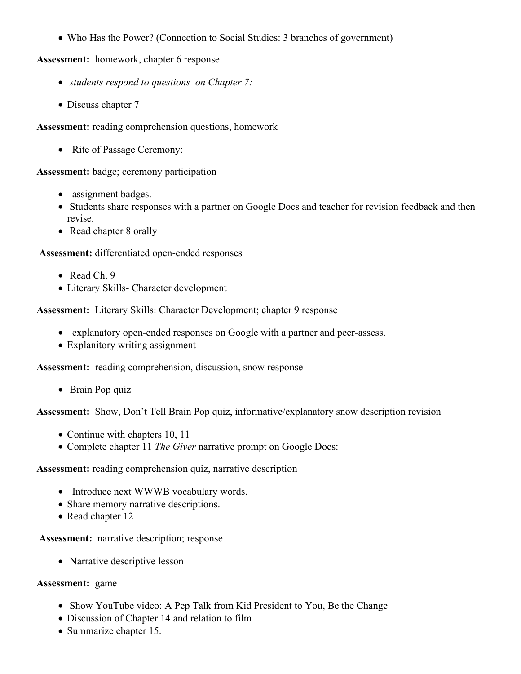Who Has the Power? (Connection to Social Studies: 3 branches of government)

#### **Assessment:** homework, chapter 6 response

- *students respond to questions on Chapter 7:*
- Discuss chapter 7

**Assessment:** reading comprehension questions, homework

• Rite of Passage Ceremony:

#### **Assessment:** badge; ceremony participation

- assignment badges.
- Students share responses with a partner on Google Docs and teacher for revision feedback and then revise.
- Read chapter 8 orally

 **Assessment:** differentiated open-ended responses

- Read Ch. 9
- Literary Skills- Character development

**Assessment:** Literary Skills: Character Development; chapter 9 response

- explanatory open-ended responses on Google with a partner and peer-assess.
- Explanitory writing assignment

**Assessment:** reading comprehension, discussion, snow response

• Brain Pop quiz

**Assessment:** Show, Don't Tell Brain Pop quiz, informative/explanatory snow description revision

- Continue with chapters 10, 11
- Complete chapter 11 *The Giver* narrative prompt on Google Docs:

#### **Assessment:** reading comprehension quiz, narrative description

- Introduce next WWWB vocabulary words.
- Share memory narrative descriptions.
- Read chapter 12

**Assessment:** narrative description; response

Narrative descriptive lesson

#### **Assessment:** game

- Show YouTube video: A Pep Talk from Kid President to You, Be the Change
- Discussion of Chapter 14 and relation to film
- Summarize chapter 15.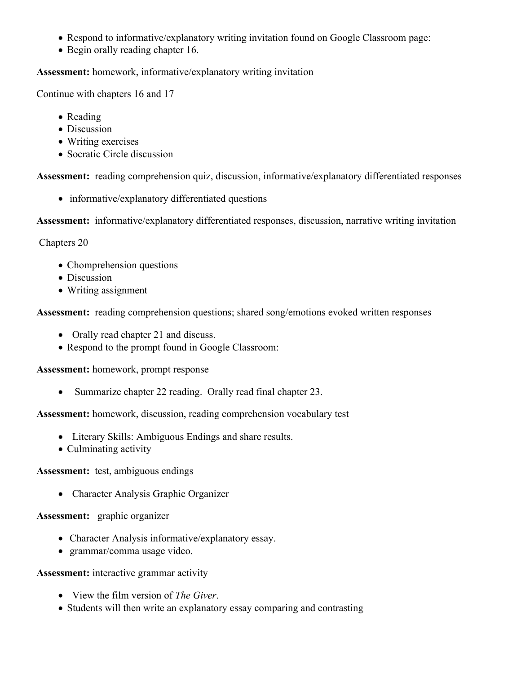- Respond to informative/explanatory writing invitation found on Google Classroom page:
- Begin orally reading chapter 16.

**Assessment:** homework, informative/explanatory writing invitation

Continue with chapters 16 and 17

- Reading
- Discussion
- Writing exercises
- Socratic Circle discussion

**Assessment:** reading comprehension quiz, discussion, informative/explanatory differentiated responses

• informative/explanatory differentiated questions

**Assessment:** informative/explanatory differentiated responses, discussion, narrative writing invitation

Chapters 20

- Chomprehension questions
- Discussion
- Writing assignment

**Assessment:** reading comprehension questions; shared song/emotions evoked written responses

- Orally read chapter 21 and discuss.
- Respond to the prompt found in Google Classroom:

**Assessment:** homework, prompt response

• Summarize chapter 22 reading. Orally read final chapter 23.

**Assessment:** homework, discussion, reading comprehension vocabulary test

- Literary Skills: Ambiguous Endings and share results.
- Culminating activity

**Assessment:** test, ambiguous endings

• Character Analysis Graphic Organizer

**Assessment:** graphic organizer

- Character Analysis informative/explanatory essay.
- grammar/comma usage video.

# **Assessment:** interactive grammar activity

- View the film version of *The Giver*.
- Students will then write an explanatory essay comparing and contrasting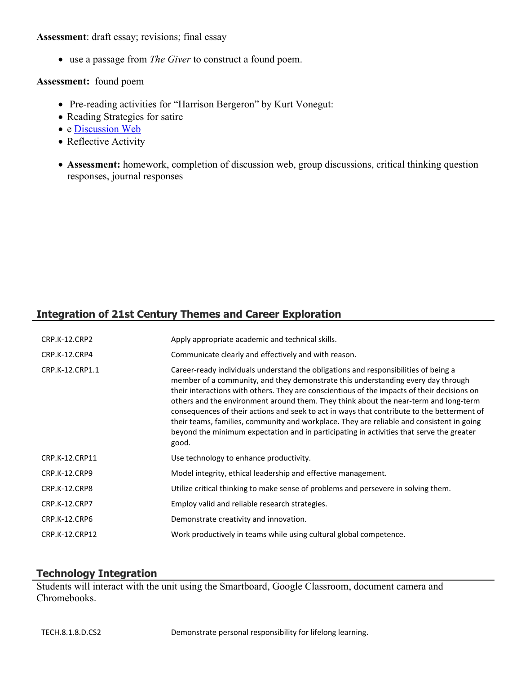**Assessment**: draft essay; revisions; final essay

use a passage from *The Giver* to construct a found poem.

#### **Assessment:** found poem

- Pre-reading activities for "Harrison Bergeron" by Kurt Vonegut:
- Reading Strategies for satire
- e [Discussion Web](http://www.readwritethink.org/lesson_images/lesson819/graphic-organizer.pdf)
- Reflective Activity
- **Assessment:** homework, completion of discussion web, group discussions, critical thinking question responses, journal responses

#### **Integration of 21st Century Themes and Career Exploration**

| CRP.K-12.CRP2        | Apply appropriate academic and technical skills.                                                                                                                                                                                                                                                                                                                                                                                                                                                                                                                                                                                                               |
|----------------------|----------------------------------------------------------------------------------------------------------------------------------------------------------------------------------------------------------------------------------------------------------------------------------------------------------------------------------------------------------------------------------------------------------------------------------------------------------------------------------------------------------------------------------------------------------------------------------------------------------------------------------------------------------------|
| CRP.K-12.CRP4        | Communicate clearly and effectively and with reason.                                                                                                                                                                                                                                                                                                                                                                                                                                                                                                                                                                                                           |
| CRP.K-12.CRP1.1      | Career-ready individuals understand the obligations and responsibilities of being a<br>member of a community, and they demonstrate this understanding every day through<br>their interactions with others. They are conscientious of the impacts of their decisions on<br>others and the environment around them. They think about the near-term and long-term<br>consequences of their actions and seek to act in ways that contribute to the betterment of<br>their teams, families, community and workplace. They are reliable and consistent in going<br>beyond the minimum expectation and in participating in activities that serve the greater<br>good. |
| CRP.K-12.CRP11       | Use technology to enhance productivity.                                                                                                                                                                                                                                                                                                                                                                                                                                                                                                                                                                                                                        |
| CRP.K-12.CRP9        | Model integrity, ethical leadership and effective management.                                                                                                                                                                                                                                                                                                                                                                                                                                                                                                                                                                                                  |
| CRP.K-12.CRP8        | Utilize critical thinking to make sense of problems and persevere in solving them.                                                                                                                                                                                                                                                                                                                                                                                                                                                                                                                                                                             |
| <b>CRP.K-12.CRP7</b> | Employ valid and reliable research strategies.                                                                                                                                                                                                                                                                                                                                                                                                                                                                                                                                                                                                                 |
| CRP.K-12.CRP6        | Demonstrate creativity and innovation.                                                                                                                                                                                                                                                                                                                                                                                                                                                                                                                                                                                                                         |
| CRP.K-12.CRP12       | Work productively in teams while using cultural global competence.                                                                                                                                                                                                                                                                                                                                                                                                                                                                                                                                                                                             |
|                      |                                                                                                                                                                                                                                                                                                                                                                                                                                                                                                                                                                                                                                                                |

#### **Technology Integration**

Students will interact with the unit using the Smartboard, Google Classroom, document camera and Chromebooks.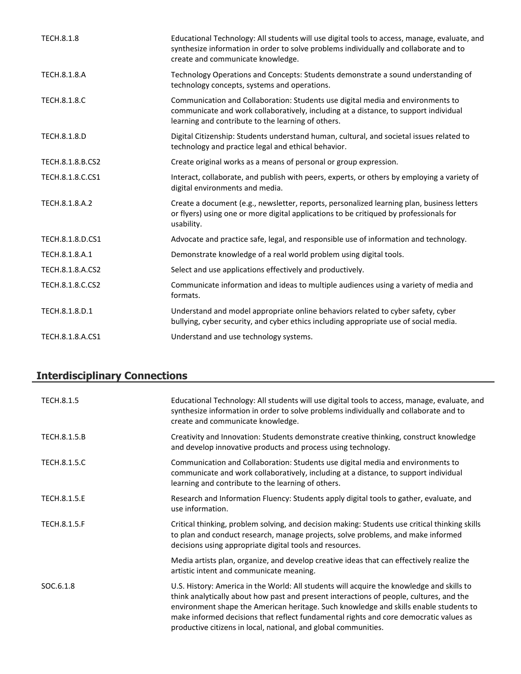| TECH.8.1.8          | Educational Technology: All students will use digital tools to access, manage, evaluate, and<br>synthesize information in order to solve problems individually and collaborate and to<br>create and communicate knowledge.    |
|---------------------|-------------------------------------------------------------------------------------------------------------------------------------------------------------------------------------------------------------------------------|
| TECH.8.1.8.A        | Technology Operations and Concepts: Students demonstrate a sound understanding of<br>technology concepts, systems and operations.                                                                                             |
| <b>TECH.8.1.8.C</b> | Communication and Collaboration: Students use digital media and environments to<br>communicate and work collaboratively, including at a distance, to support individual<br>learning and contribute to the learning of others. |
| TECH.8.1.8.D        | Digital Citizenship: Students understand human, cultural, and societal issues related to<br>technology and practice legal and ethical behavior.                                                                               |
| TECH.8.1.8.B.CS2    | Create original works as a means of personal or group expression.                                                                                                                                                             |
| TECH.8.1.8.C.CS1    | Interact, collaborate, and publish with peers, experts, or others by employing a variety of<br>digital environments and media.                                                                                                |
| TECH.8.1.8.A.2      | Create a document (e.g., newsletter, reports, personalized learning plan, business letters<br>or flyers) using one or more digital applications to be critiqued by professionals for<br>usability.                            |
| TECH.8.1.8.D.CS1    | Advocate and practice safe, legal, and responsible use of information and technology.                                                                                                                                         |
| TECH.8.1.8.A.1      | Demonstrate knowledge of a real world problem using digital tools.                                                                                                                                                            |
| TECH.8.1.8.A.CS2    | Select and use applications effectively and productively.                                                                                                                                                                     |
| TECH.8.1.8.C.CS2    | Communicate information and ideas to multiple audiences using a variety of media and<br>formats.                                                                                                                              |
| TECH.8.1.8.D.1      | Understand and model appropriate online behaviors related to cyber safety, cyber<br>bullying, cyber security, and cyber ethics including appropriate use of social media.                                                     |
| TECH.8.1.8.A.CS1    | Understand and use technology systems.                                                                                                                                                                                        |

# **Interdisciplinary Connections**

| TECH.8.1.5          | Educational Technology: All students will use digital tools to access, manage, evaluate, and<br>synthesize information in order to solve problems individually and collaborate and to<br>create and communicate knowledge.                                                                                                                                                                                                                |
|---------------------|-------------------------------------------------------------------------------------------------------------------------------------------------------------------------------------------------------------------------------------------------------------------------------------------------------------------------------------------------------------------------------------------------------------------------------------------|
| TECH.8.1.5.B        | Creativity and Innovation: Students demonstrate creative thinking, construct knowledge<br>and develop innovative products and process using technology.                                                                                                                                                                                                                                                                                   |
| TECH.8.1.5.C        | Communication and Collaboration: Students use digital media and environments to<br>communicate and work collaboratively, including at a distance, to support individual<br>learning and contribute to the learning of others.                                                                                                                                                                                                             |
| <b>TECH.8.1.5.E</b> | Research and Information Fluency: Students apply digital tools to gather, evaluate, and<br>use information.                                                                                                                                                                                                                                                                                                                               |
| <b>TECH.8.1.5.F</b> | Critical thinking, problem solving, and decision making: Students use critical thinking skills<br>to plan and conduct research, manage projects, solve problems, and make informed<br>decisions using appropriate digital tools and resources.                                                                                                                                                                                            |
|                     | Media artists plan, organize, and develop creative ideas that can effectively realize the<br>artistic intent and communicate meaning.                                                                                                                                                                                                                                                                                                     |
| SOC.6.1.8           | U.S. History: America in the World: All students will acquire the knowledge and skills to<br>think analytically about how past and present interactions of people, cultures, and the<br>environment shape the American heritage. Such knowledge and skills enable students to<br>make informed decisions that reflect fundamental rights and core democratic values as<br>productive citizens in local, national, and global communities. |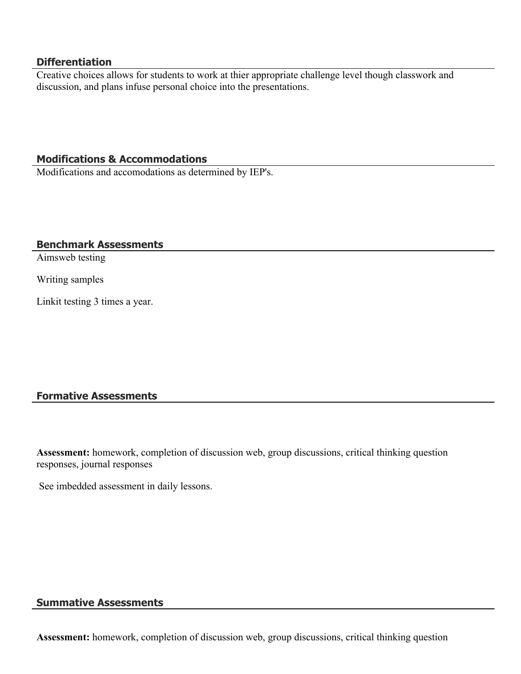#### **Differentiation**

Creative choices allows for students to work at thier appropriate challenge level though classwork and discussion, and plans infuse personal choice into the presentations.

#### **Modifications & Accommodations**

Modifications and accomodations as determined by IEP's.

**Benchmark Assessments**

Aimsweb testing

Writing samples

Linkit testing 3 times a year.

#### **Formative Assessments**

**Assessment:** homework, completion of discussion web, group discussions, critical thinking question responses, journal responses

See imbedded assessment in daily lessons.

#### **Summative Assessments**

**Assessment:** homework, completion of discussion web, group discussions, critical thinking question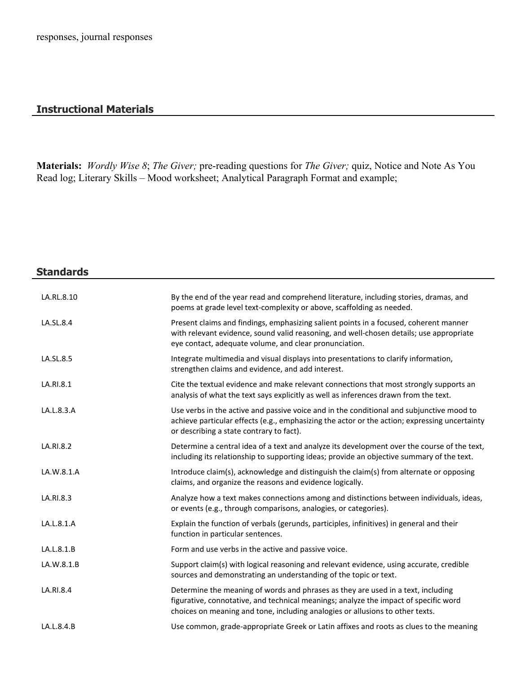# **Instructional Materials**

**Materials:** *Wordly Wise 8*; *The Giver;* pre-reading questions for *The Giver;* quiz, Notice and Note As You Read log; Literary Skills – Mood worksheet; Analytical Paragraph Format and example;

| <b>Standards</b> |                                                                                                                                                                                                                                                           |
|------------------|-----------------------------------------------------------------------------------------------------------------------------------------------------------------------------------------------------------------------------------------------------------|
| LA.RL.8.10       | By the end of the year read and comprehend literature, including stories, dramas, and<br>poems at grade level text-complexity or above, scaffolding as needed.                                                                                            |
| LA.SL.8.4        | Present claims and findings, emphasizing salient points in a focused, coherent manner<br>with relevant evidence, sound valid reasoning, and well-chosen details; use appropriate<br>eye contact, adequate volume, and clear pronunciation.                |
| LA.SL.8.5        | Integrate multimedia and visual displays into presentations to clarify information,<br>strengthen claims and evidence, and add interest.                                                                                                                  |
| LA.RI.8.1        | Cite the textual evidence and make relevant connections that most strongly supports an<br>analysis of what the text says explicitly as well as inferences drawn from the text.                                                                            |
| LA.L.8.3.A       | Use verbs in the active and passive voice and in the conditional and subjunctive mood to<br>achieve particular effects (e.g., emphasizing the actor or the action; expressing uncertainty<br>or describing a state contrary to fact).                     |
| LA.RI.8.2        | Determine a central idea of a text and analyze its development over the course of the text,<br>including its relationship to supporting ideas; provide an objective summary of the text.                                                                  |
| LA.W.8.1.A       | Introduce claim(s), acknowledge and distinguish the claim(s) from alternate or opposing<br>claims, and organize the reasons and evidence logically.                                                                                                       |
| LA.RI.8.3        | Analyze how a text makes connections among and distinctions between individuals, ideas,<br>or events (e.g., through comparisons, analogies, or categories).                                                                                               |
| LA.L.8.1.A       | Explain the function of verbals (gerunds, participles, infinitives) in general and their<br>function in particular sentences.                                                                                                                             |
| LA.L.8.1.B       | Form and use verbs in the active and passive voice.                                                                                                                                                                                                       |
| LA.W.8.1.B       | Support claim(s) with logical reasoning and relevant evidence, using accurate, credible<br>sources and demonstrating an understanding of the topic or text.                                                                                               |
| LA.RI.8.4        | Determine the meaning of words and phrases as they are used in a text, including<br>figurative, connotative, and technical meanings; analyze the impact of specific word<br>choices on meaning and tone, including analogies or allusions to other texts. |
| LA.L.8.4.B       | Use common, grade-appropriate Greek or Latin affixes and roots as clues to the meaning                                                                                                                                                                    |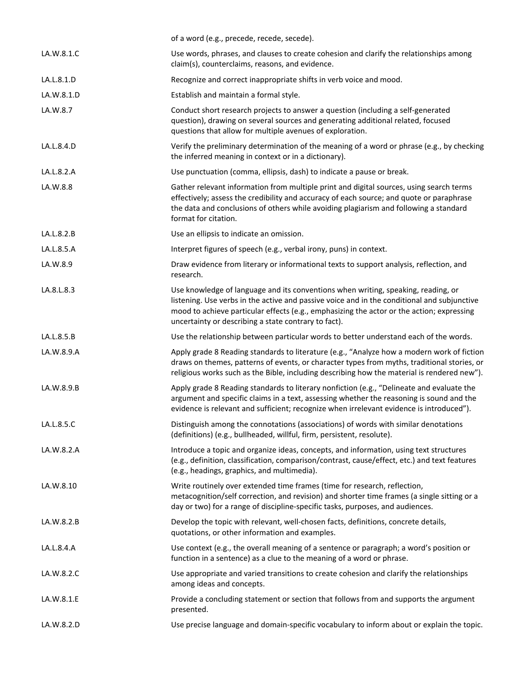|            | of a word (e.g., precede, recede, secede).                                                                                                                                                                                                                                                                                            |
|------------|---------------------------------------------------------------------------------------------------------------------------------------------------------------------------------------------------------------------------------------------------------------------------------------------------------------------------------------|
| LA.W.8.1.C | Use words, phrases, and clauses to create cohesion and clarify the relationships among<br>claim(s), counterclaims, reasons, and evidence.                                                                                                                                                                                             |
| LA.L.8.1.D | Recognize and correct inappropriate shifts in verb voice and mood.                                                                                                                                                                                                                                                                    |
| LA.W.8.1.D | Establish and maintain a formal style.                                                                                                                                                                                                                                                                                                |
| LA.W.8.7   | Conduct short research projects to answer a question (including a self-generated<br>question), drawing on several sources and generating additional related, focused<br>questions that allow for multiple avenues of exploration.                                                                                                     |
| LA.L.8.4.D | Verify the preliminary determination of the meaning of a word or phrase (e.g., by checking<br>the inferred meaning in context or in a dictionary).                                                                                                                                                                                    |
| LA.L.8.2.A | Use punctuation (comma, ellipsis, dash) to indicate a pause or break.                                                                                                                                                                                                                                                                 |
| LA.W.8.8   | Gather relevant information from multiple print and digital sources, using search terms<br>effectively; assess the credibility and accuracy of each source; and quote or paraphrase<br>the data and conclusions of others while avoiding plagiarism and following a standard<br>format for citation.                                  |
| LA.L.8.2.B | Use an ellipsis to indicate an omission.                                                                                                                                                                                                                                                                                              |
| LA.L.8.5.A | Interpret figures of speech (e.g., verbal irony, puns) in context.                                                                                                                                                                                                                                                                    |
| LA.W.8.9   | Draw evidence from literary or informational texts to support analysis, reflection, and<br>research.                                                                                                                                                                                                                                  |
| LA.8.L.8.3 | Use knowledge of language and its conventions when writing, speaking, reading, or<br>listening. Use verbs in the active and passive voice and in the conditional and subjunctive<br>mood to achieve particular effects (e.g., emphasizing the actor or the action; expressing<br>uncertainty or describing a state contrary to fact). |
| LA.L.8.5.B | Use the relationship between particular words to better understand each of the words.                                                                                                                                                                                                                                                 |
| LA.W.8.9.A | Apply grade 8 Reading standards to literature (e.g., "Analyze how a modern work of fiction<br>draws on themes, patterns of events, or character types from myths, traditional stories, or<br>religious works such as the Bible, including describing how the material is rendered new").                                              |
| LA.W.8.9.B | Apply grade 8 Reading standards to literary nonfiction (e.g., "Delineate and evaluate the<br>argument and specific claims in a text, assessing whether the reasoning is sound and the<br>evidence is relevant and sufficient; recognize when irrelevant evidence is introduced").                                                     |
| LA.L.8.5.C | Distinguish among the connotations (associations) of words with similar denotations<br>(definitions) (e.g., bullheaded, willful, firm, persistent, resolute).                                                                                                                                                                         |
| LA.W.8.2.A | Introduce a topic and organize ideas, concepts, and information, using text structures<br>(e.g., definition, classification, comparison/contrast, cause/effect, etc.) and text features<br>(e.g., headings, graphics, and multimedia).                                                                                                |
| LA.W.8.10  | Write routinely over extended time frames (time for research, reflection,<br>metacognition/self correction, and revision) and shorter time frames (a single sitting or a<br>day or two) for a range of discipline-specific tasks, purposes, and audiences.                                                                            |
| LA.W.8.2.B | Develop the topic with relevant, well-chosen facts, definitions, concrete details,<br>quotations, or other information and examples.                                                                                                                                                                                                  |
| LA.L.8.4.A | Use context (e.g., the overall meaning of a sentence or paragraph; a word's position or<br>function in a sentence) as a clue to the meaning of a word or phrase.                                                                                                                                                                      |
| LA.W.8.2.C | Use appropriate and varied transitions to create cohesion and clarify the relationships<br>among ideas and concepts.                                                                                                                                                                                                                  |
| LA.W.8.1.E | Provide a concluding statement or section that follows from and supports the argument<br>presented.                                                                                                                                                                                                                                   |
| LA.W.8.2.D | Use precise language and domain-specific vocabulary to inform about or explain the topic.                                                                                                                                                                                                                                             |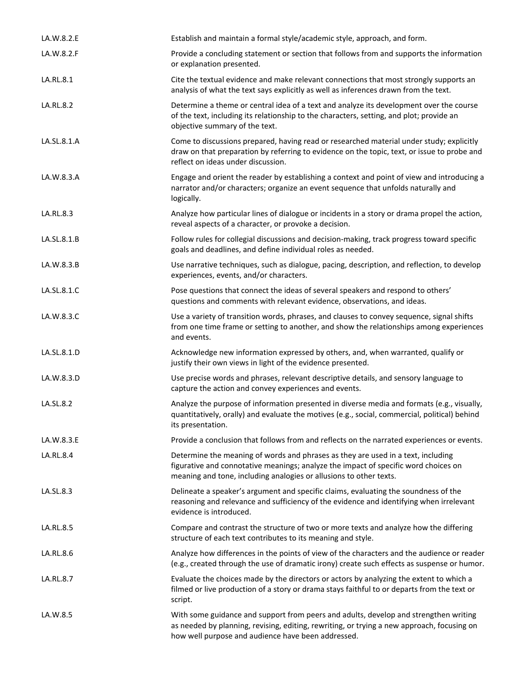| LA.W.8.2.E  | Establish and maintain a formal style/academic style, approach, and form.                                                                                                                                                                     |
|-------------|-----------------------------------------------------------------------------------------------------------------------------------------------------------------------------------------------------------------------------------------------|
| LA.W.8.2.F  | Provide a concluding statement or section that follows from and supports the information<br>or explanation presented.                                                                                                                         |
| LA.RL.8.1   | Cite the textual evidence and make relevant connections that most strongly supports an<br>analysis of what the text says explicitly as well as inferences drawn from the text.                                                                |
| LA.RL.8.2   | Determine a theme or central idea of a text and analyze its development over the course<br>of the text, including its relationship to the characters, setting, and plot; provide an<br>objective summary of the text.                         |
| LA.SL.8.1.A | Come to discussions prepared, having read or researched material under study; explicitly<br>draw on that preparation by referring to evidence on the topic, text, or issue to probe and<br>reflect on ideas under discussion.                 |
| LA.W.8.3.A  | Engage and orient the reader by establishing a context and point of view and introducing a<br>narrator and/or characters; organize an event sequence that unfolds naturally and<br>logically.                                                 |
| LA.RL.8.3   | Analyze how particular lines of dialogue or incidents in a story or drama propel the action,<br>reveal aspects of a character, or provoke a decision.                                                                                         |
| LA.SL.8.1.B | Follow rules for collegial discussions and decision-making, track progress toward specific<br>goals and deadlines, and define individual roles as needed.                                                                                     |
| LA.W.8.3.B  | Use narrative techniques, such as dialogue, pacing, description, and reflection, to develop<br>experiences, events, and/or characters.                                                                                                        |
| LA.SL.8.1.C | Pose questions that connect the ideas of several speakers and respond to others'<br>questions and comments with relevant evidence, observations, and ideas.                                                                                   |
| LA.W.8.3.C  | Use a variety of transition words, phrases, and clauses to convey sequence, signal shifts<br>from one time frame or setting to another, and show the relationships among experiences<br>and events.                                           |
| LA.SL.8.1.D | Acknowledge new information expressed by others, and, when warranted, qualify or<br>justify their own views in light of the evidence presented.                                                                                               |
| LA.W.8.3.D  | Use precise words and phrases, relevant descriptive details, and sensory language to<br>capture the action and convey experiences and events.                                                                                                 |
| LA.SL.8.2   | Analyze the purpose of information presented in diverse media and formats (e.g., visually,<br>quantitatively, orally) and evaluate the motives (e.g., social, commercial, political) behind<br>its presentation.                              |
| LA.W.8.3.E  | Provide a conclusion that follows from and reflects on the narrated experiences or events.                                                                                                                                                    |
| LA.RL.8.4   | Determine the meaning of words and phrases as they are used in a text, including<br>figurative and connotative meanings; analyze the impact of specific word choices on<br>meaning and tone, including analogies or allusions to other texts. |
| LA.SL.8.3   | Delineate a speaker's argument and specific claims, evaluating the soundness of the<br>reasoning and relevance and sufficiency of the evidence and identifying when irrelevant<br>evidence is introduced.                                     |
| LA.RL.8.5   | Compare and contrast the structure of two or more texts and analyze how the differing<br>structure of each text contributes to its meaning and style.                                                                                         |
| LA.RL.8.6   | Analyze how differences in the points of view of the characters and the audience or reader<br>(e.g., created through the use of dramatic irony) create such effects as suspense or humor.                                                     |
| LA.RL.8.7   | Evaluate the choices made by the directors or actors by analyzing the extent to which a<br>filmed or live production of a story or drama stays faithful to or departs from the text or<br>script.                                             |
| LA.W.8.5    | With some guidance and support from peers and adults, develop and strengthen writing<br>as needed by planning, revising, editing, rewriting, or trying a new approach, focusing on<br>how well purpose and audience have been addressed.      |